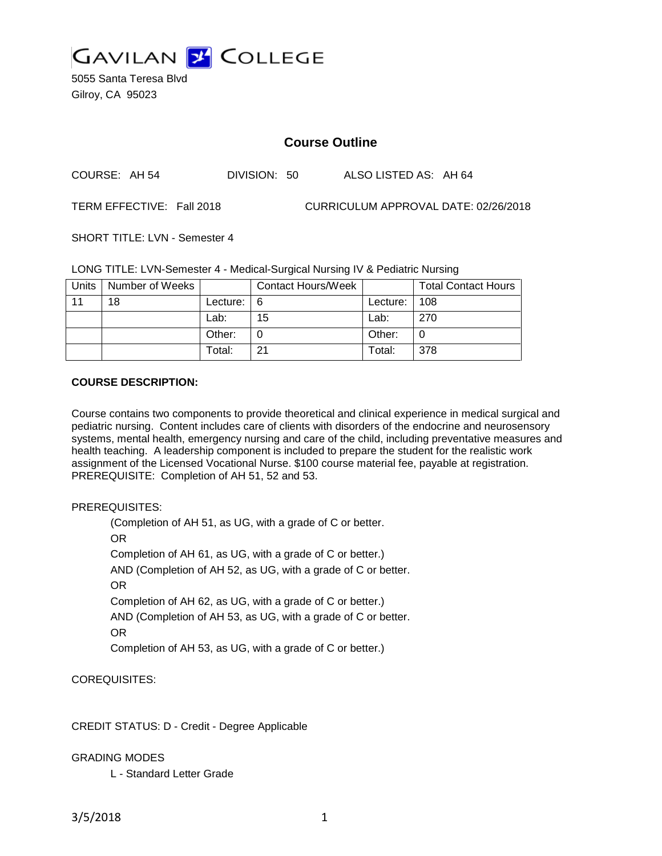

5055 Santa Teresa Blvd Gilroy, CA 95023

# **Course Outline**

| ALSO LISTED AS: AH 64<br>COURSE: AH 54<br>DIVISION: 50 |
|--------------------------------------------------------|
|--------------------------------------------------------|

TERM EFFECTIVE: Fall 2018 CURRICULUM APPROVAL DATE: 02/26/2018

SHORT TITLE: LVN - Semester 4

LONG TITLE: LVN-Semester 4 - Medical-Surgical Nursing IV & Pediatric Nursing

| Units | Number of Weeks |            | <b>Contact Hours/Week</b> |          | <b>Total Contact Hours</b> |
|-------|-----------------|------------|---------------------------|----------|----------------------------|
| 11    | 18              | Lecture: I | - 6                       | Lecture: | 108                        |
|       |                 | Lab:       | 15                        | Lab:     | 270                        |
|       |                 | Other:     |                           | Other:   | 0                          |
|       |                 | Total:     | 21                        | Total:   | 378                        |

### **COURSE DESCRIPTION:**

Course contains two components to provide theoretical and clinical experience in medical surgical and pediatric nursing. Content includes care of clients with disorders of the endocrine and neurosensory systems, mental health, emergency nursing and care of the child, including preventative measures and health teaching. A leadership component is included to prepare the student for the realistic work assignment of the Licensed Vocational Nurse. \$100 course material fee, payable at registration. PREREQUISITE: Completion of AH 51, 52 and 53.

#### PREREQUISITES:

(Completion of AH 51, as UG, with a grade of C or better. OR Completion of AH 61, as UG, with a grade of C or better.) AND (Completion of AH 52, as UG, with a grade of C or better. OR Completion of AH 62, as UG, with a grade of C or better.) AND (Completion of AH 53, as UG, with a grade of C or better. OR Completion of AH 53, as UG, with a grade of C or better.)

COREQUISITES:

CREDIT STATUS: D - Credit - Degree Applicable

#### GRADING MODES

L - Standard Letter Grade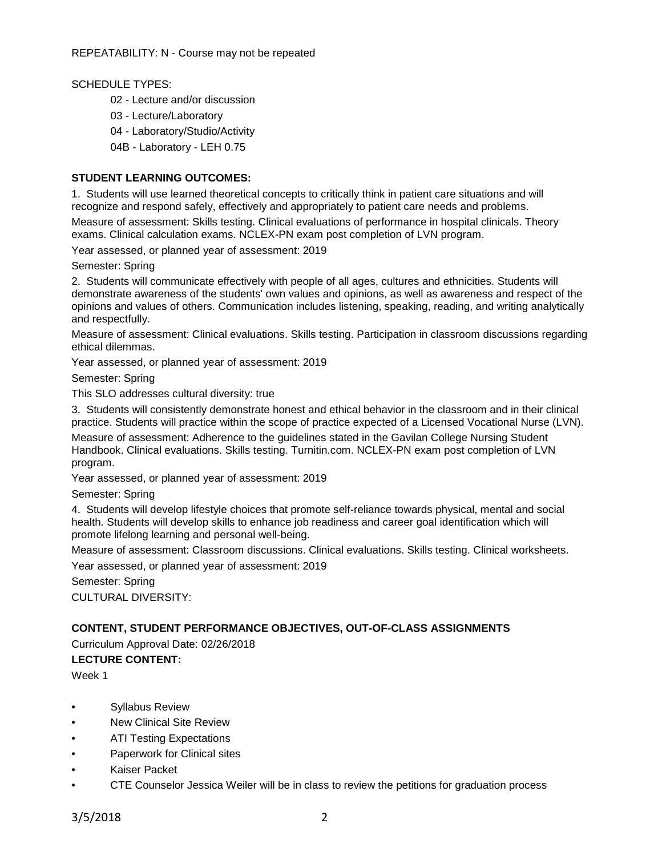SCHEDULE TYPES:

- 02 Lecture and/or discussion
- 03 Lecture/Laboratory
- 04 Laboratory/Studio/Activity
- 04B Laboratory LEH 0.75

### **STUDENT LEARNING OUTCOMES:**

1. Students will use learned theoretical concepts to critically think in patient care situations and will recognize and respond safely, effectively and appropriately to patient care needs and problems.

Measure of assessment: Skills testing. Clinical evaluations of performance in hospital clinicals. Theory exams. Clinical calculation exams. NCLEX-PN exam post completion of LVN program.

Year assessed, or planned year of assessment: 2019

Semester: Spring

2. Students will communicate effectively with people of all ages, cultures and ethnicities. Students will demonstrate awareness of the students' own values and opinions, as well as awareness and respect of the opinions and values of others. Communication includes listening, speaking, reading, and writing analytically and respectfully.

Measure of assessment: Clinical evaluations. Skills testing. Participation in classroom discussions regarding ethical dilemmas.

Year assessed, or planned year of assessment: 2019

Semester: Spring

This SLO addresses cultural diversity: true

3. Students will consistently demonstrate honest and ethical behavior in the classroom and in their clinical practice. Students will practice within the scope of practice expected of a Licensed Vocational Nurse (LVN).

Measure of assessment: Adherence to the guidelines stated in the Gavilan College Nursing Student Handbook. Clinical evaluations. Skills testing. Turnitin.com. NCLEX-PN exam post completion of LVN program.

Year assessed, or planned year of assessment: 2019

Semester: Spring

4. Students will develop lifestyle choices that promote self-reliance towards physical, mental and social health. Students will develop skills to enhance job readiness and career goal identification which will promote lifelong learning and personal well-being.

Measure of assessment: Classroom discussions. Clinical evaluations. Skills testing. Clinical worksheets.

Year assessed, or planned year of assessment: 2019

Semester: Spring CULTURAL DIVERSITY:

#### **CONTENT, STUDENT PERFORMANCE OBJECTIVES, OUT-OF-CLASS ASSIGNMENTS**

Curriculum Approval Date: 02/26/2018

**LECTURE CONTENT:**

Week 1

- Syllabus Review
- New Clinical Site Review
- ATI Testing Expectations
- Paperwork for Clinical sites
- Kaiser Packet
- CTE Counselor Jessica Weiler will be in class to review the petitions for graduation process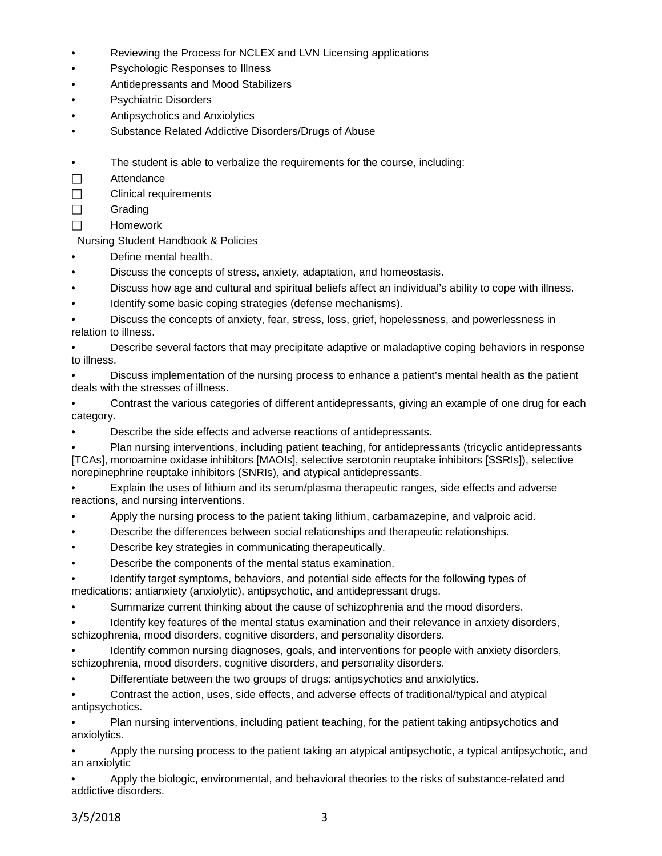- Reviewing the Process for NCLEX and LVN Licensing applications
- Psychologic Responses to Illness
- Antidepressants and Mood Stabilizers
- Psychiatric Disorders
- Antipsychotics and Anxiolytics
- Substance Related Addictive Disorders/Drugs of Abuse
- The student is able to verbalize the requirements for the course, including:
- □ Attendance
- $\Box$  Clinical requirements
- $\Box$  Grading
- $\Box$  Homework

Nursing Student Handbook & Policies

- Define mental health.
- Discuss the concepts of stress, anxiety, adaptation, and homeostasis.
- Discuss how age and cultural and spiritual beliefs affect an individual's ability to cope with illness.
- Identify some basic coping strategies (defense mechanisms).

• Discuss the concepts of anxiety, fear, stress, loss, grief, hopelessness, and powerlessness in relation to illness.

• Describe several factors that may precipitate adaptive or maladaptive coping behaviors in response to illness.

• Discuss implementation of the nursing process to enhance a patient's mental health as the patient deals with the stresses of illness.

• Contrast the various categories of different antidepressants, giving an example of one drug for each category.

• Describe the side effects and adverse reactions of antidepressants.

• Plan nursing interventions, including patient teaching, for antidepressants (tricyclic antidepressants [TCAs], monoamine oxidase inhibitors [MAOIs], selective serotonin reuptake inhibitors [SSRIs]), selective norepinephrine reuptake inhibitors (SNRIs), and atypical antidepressants.

• Explain the uses of lithium and its serum/plasma therapeutic ranges, side effects and adverse reactions, and nursing interventions.

- Apply the nursing process to the patient taking lithium, carbamazepine, and valproic acid.
- Describe the differences between social relationships and therapeutic relationships.
- Describe key strategies in communicating therapeutically.
- Describe the components of the mental status examination.
- Identify target symptoms, behaviors, and potential side effects for the following types of medications: antianxiety (anxiolytic), antipsychotic, and antidepressant drugs.
- Summarize current thinking about the cause of schizophrenia and the mood disorders.
- Identify key features of the mental status examination and their relevance in anxiety disorders, schizophrenia, mood disorders, cognitive disorders, and personality disorders.

Identify common nursing diagnoses, goals, and interventions for people with anxiety disorders. schizophrenia, mood disorders, cognitive disorders, and personality disorders.

• Differentiate between the two groups of drugs: antipsychotics and anxiolytics.

• Contrast the action, uses, side effects, and adverse effects of traditional/typical and atypical antipsychotics.

• Plan nursing interventions, including patient teaching, for the patient taking antipsychotics and anxiolytics.

• Apply the nursing process to the patient taking an atypical antipsychotic, a typical antipsychotic, and an anxiolytic

• Apply the biologic, environmental, and behavioral theories to the risks of substance-related and addictive disorders.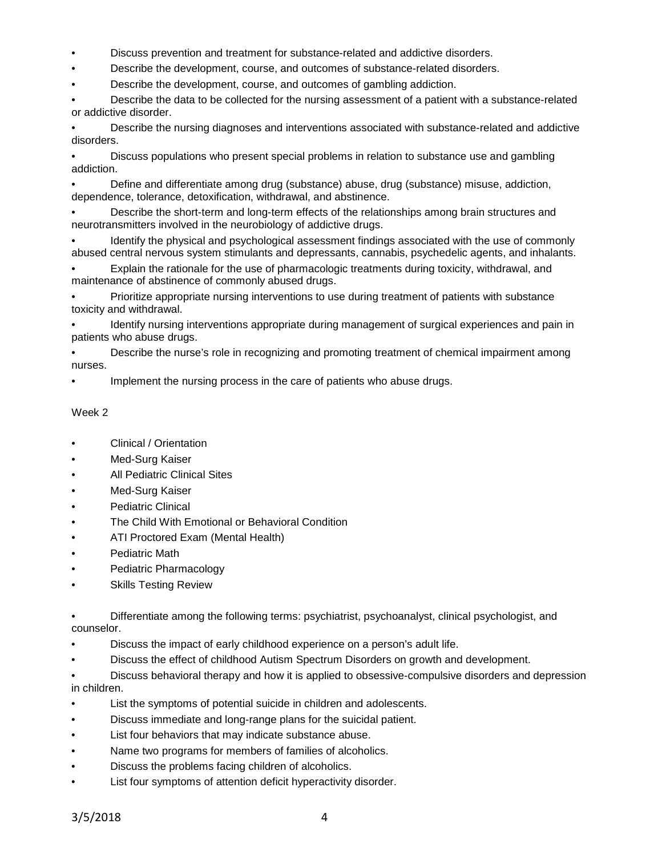- Discuss prevention and treatment for substance-related and addictive disorders.
- Describe the development, course, and outcomes of substance-related disorders.
- Describe the development, course, and outcomes of gambling addiction.

• Describe the data to be collected for the nursing assessment of a patient with a substance-related or addictive disorder.

• Describe the nursing diagnoses and interventions associated with substance-related and addictive disorders.

• Discuss populations who present special problems in relation to substance use and gambling addiction.

• Define and differentiate among drug (substance) abuse, drug (substance) misuse, addiction, dependence, tolerance, detoxification, withdrawal, and abstinence.

• Describe the short-term and long-term effects of the relationships among brain structures and neurotransmitters involved in the neurobiology of addictive drugs.

• Identify the physical and psychological assessment findings associated with the use of commonly abused central nervous system stimulants and depressants, cannabis, psychedelic agents, and inhalants.

• Explain the rationale for the use of pharmacologic treatments during toxicity, withdrawal, and maintenance of abstinence of commonly abused drugs.

• Prioritize appropriate nursing interventions to use during treatment of patients with substance toxicity and withdrawal.

• Identify nursing interventions appropriate during management of surgical experiences and pain in patients who abuse drugs.

• Describe the nurse's role in recognizing and promoting treatment of chemical impairment among nurses.

Implement the nursing process in the care of patients who abuse drugs.

# Week 2

- Clinical / Orientation
- Med-Surg Kaiser
- All Pediatric Clinical Sites
- Med-Surg Kaiser
- Pediatric Clinical
- The Child With Emotional or Behavioral Condition
- ATI Proctored Exam (Mental Health)
- Pediatric Math
- Pediatric Pharmacology
- **Skills Testing Review**

• Differentiate among the following terms: psychiatrist, psychoanalyst, clinical psychologist, and counselor.

- Discuss the impact of early childhood experience on a person's adult life.
- Discuss the effect of childhood Autism Spectrum Disorders on growth and development.

• Discuss behavioral therapy and how it is applied to obsessive-compulsive disorders and depression in children.

- List the symptoms of potential suicide in children and adolescents.
- Discuss immediate and long-range plans for the suicidal patient.
- List four behaviors that may indicate substance abuse.
- Name two programs for members of families of alcoholics.
- Discuss the problems facing children of alcoholics.
- List four symptoms of attention deficit hyperactivity disorder.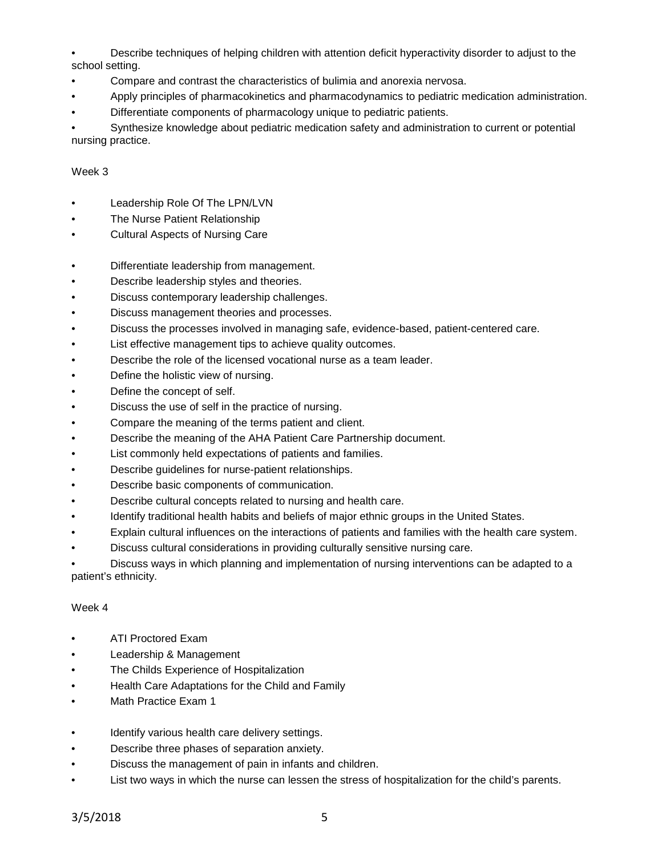• Describe techniques of helping children with attention deficit hyperactivity disorder to adjust to the school setting.

- Compare and contrast the characteristics of bulimia and anorexia nervosa.
- Apply principles of pharmacokinetics and pharmacodynamics to pediatric medication administration.
- Differentiate components of pharmacology unique to pediatric patients.

• Synthesize knowledge about pediatric medication safety and administration to current or potential nursing practice.

# Week 3

- Leadership Role Of The LPN/LVN
- **The Nurse Patient Relationship**
- Cultural Aspects of Nursing Care
- Differentiate leadership from management.
- Describe leadership styles and theories.
- Discuss contemporary leadership challenges.
- Discuss management theories and processes.
- Discuss the processes involved in managing safe, evidence-based, patient-centered care.
- List effective management tips to achieve quality outcomes.
- Describe the role of the licensed vocational nurse as a team leader.
- Define the holistic view of nursing.
- Define the concept of self.
- Discuss the use of self in the practice of nursing.
- Compare the meaning of the terms patient and client.
- Describe the meaning of the AHA Patient Care Partnership document.
- List commonly held expectations of patients and families.
- Describe guidelines for nurse-patient relationships.
- Describe basic components of communication.
- Describe cultural concepts related to nursing and health care.
- Identify traditional health habits and beliefs of major ethnic groups in the United States.
- Explain cultural influences on the interactions of patients and families with the health care system.
- Discuss cultural considerations in providing culturally sensitive nursing care.

• Discuss ways in which planning and implementation of nursing interventions can be adapted to a patient's ethnicity.

# Week 4

- ATI Proctored Exam
- Leadership & Management
- The Childs Experience of Hospitalization
- Health Care Adaptations for the Child and Family
- Math Practice Exam 1
- Identify various health care delivery settings.
- Describe three phases of separation anxiety.
- Discuss the management of pain in infants and children.
- List two ways in which the nurse can lessen the stress of hospitalization for the child's parents.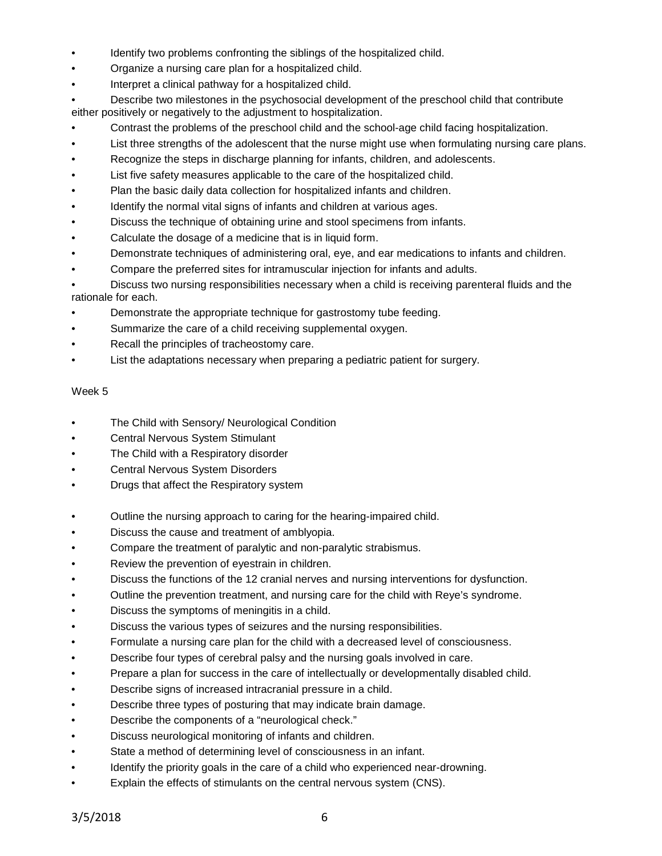- Identify two problems confronting the siblings of the hospitalized child.
- Organize a nursing care plan for a hospitalized child.
- Interpret a clinical pathway for a hospitalized child.

• Describe two milestones in the psychosocial development of the preschool child that contribute either positively or negatively to the adjustment to hospitalization.

- Contrast the problems of the preschool child and the school-age child facing hospitalization.
- List three strengths of the adolescent that the nurse might use when formulating nursing care plans.
- Recognize the steps in discharge planning for infants, children, and adolescents.
- List five safety measures applicable to the care of the hospitalized child.
- Plan the basic daily data collection for hospitalized infants and children.
- Identify the normal vital signs of infants and children at various ages.
- Discuss the technique of obtaining urine and stool specimens from infants.
- Calculate the dosage of a medicine that is in liquid form.
- Demonstrate techniques of administering oral, eye, and ear medications to infants and children.
- Compare the preferred sites for intramuscular injection for infants and adults.

• Discuss two nursing responsibilities necessary when a child is receiving parenteral fluids and the rationale for each.

- Demonstrate the appropriate technique for gastrostomy tube feeding.
- Summarize the care of a child receiving supplemental oxygen.
- Recall the principles of tracheostomy care.
- List the adaptations necessary when preparing a pediatric patient for surgery.

# Week 5

- The Child with Sensory/ Neurological Condition
- Central Nervous System Stimulant
- The Child with a Respiratory disorder
- Central Nervous System Disorders
- Drugs that affect the Respiratory system
- Outline the nursing approach to caring for the hearing-impaired child.
- Discuss the cause and treatment of amblyopia.
- Compare the treatment of paralytic and non-paralytic strabismus.
- Review the prevention of eyestrain in children.
- Discuss the functions of the 12 cranial nerves and nursing interventions for dysfunction.
- Outline the prevention treatment, and nursing care for the child with Reye's syndrome.
- Discuss the symptoms of meningitis in a child.
- Discuss the various types of seizures and the nursing responsibilities.
- Formulate a nursing care plan for the child with a decreased level of consciousness.
- Describe four types of cerebral palsy and the nursing goals involved in care.
- Prepare a plan for success in the care of intellectually or developmentally disabled child.
- Describe signs of increased intracranial pressure in a child.
- Describe three types of posturing that may indicate brain damage.
- Describe the components of a "neurological check."
- Discuss neurological monitoring of infants and children.
- State a method of determining level of consciousness in an infant.
- Identify the priority goals in the care of a child who experienced near-drowning.
- Explain the effects of stimulants on the central nervous system (CNS).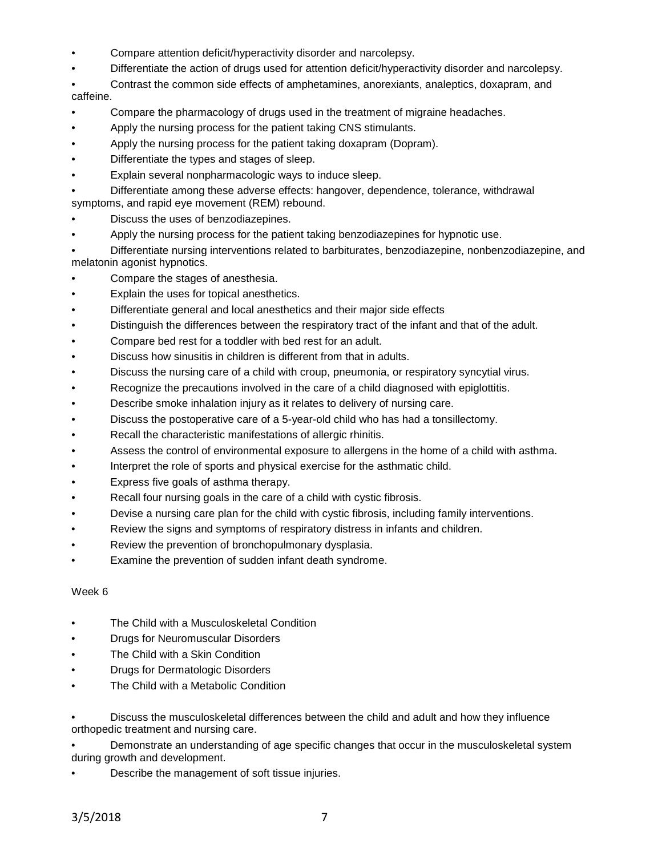- Compare attention deficit/hyperactivity disorder and narcolepsy.
- Differentiate the action of drugs used for attention deficit/hyperactivity disorder and narcolepsy.
- Contrast the common side effects of amphetamines, anorexiants, analeptics, doxapram, and

caffeine.

- Compare the pharmacology of drugs used in the treatment of migraine headaches.
- Apply the nursing process for the patient taking CNS stimulants.
- Apply the nursing process for the patient taking doxapram (Dopram).
- Differentiate the types and stages of sleep.
- Explain several nonpharmacologic ways to induce sleep.
- Differentiate among these adverse effects: hangover, dependence, tolerance, withdrawal symptoms, and rapid eye movement (REM) rebound.
- Discuss the uses of benzodiazepines.
- Apply the nursing process for the patient taking benzodiazepines for hypnotic use.
- Differentiate nursing interventions related to barbiturates, benzodiazepine, nonbenzodiazepine, and melatonin agonist hypnotics.
- Compare the stages of anesthesia.
- Explain the uses for topical anesthetics.
- Differentiate general and local anesthetics and their major side effects
- Distinguish the differences between the respiratory tract of the infant and that of the adult.
- Compare bed rest for a toddler with bed rest for an adult.
- Discuss how sinusitis in children is different from that in adults.
- Discuss the nursing care of a child with croup, pneumonia, or respiratory syncytial virus.
- Recognize the precautions involved in the care of a child diagnosed with epiglottitis.
- Describe smoke inhalation injury as it relates to delivery of nursing care.
- Discuss the postoperative care of a 5-year-old child who has had a tonsillectomy.
- Recall the characteristic manifestations of allergic rhinitis.
- Assess the control of environmental exposure to allergens in the home of a child with asthma.
- Interpret the role of sports and physical exercise for the asthmatic child.
- Express five goals of asthma therapy.
- Recall four nursing goals in the care of a child with cystic fibrosis.
- Devise a nursing care plan for the child with cystic fibrosis, including family interventions.
- Review the signs and symptoms of respiratory distress in infants and children.
- Review the prevention of bronchopulmonary dysplasia.
- Examine the prevention of sudden infant death syndrome.

# Week 6

- The Child with a Musculoskeletal Condition
- Drugs for Neuromuscular Disorders
- The Child with a Skin Condition
- Drugs for Dermatologic Disorders
- The Child with a Metabolic Condition

• Discuss the musculoskeletal differences between the child and adult and how they influence orthopedic treatment and nursing care.

• Demonstrate an understanding of age specific changes that occur in the musculoskeletal system during growth and development.

Describe the management of soft tissue injuries.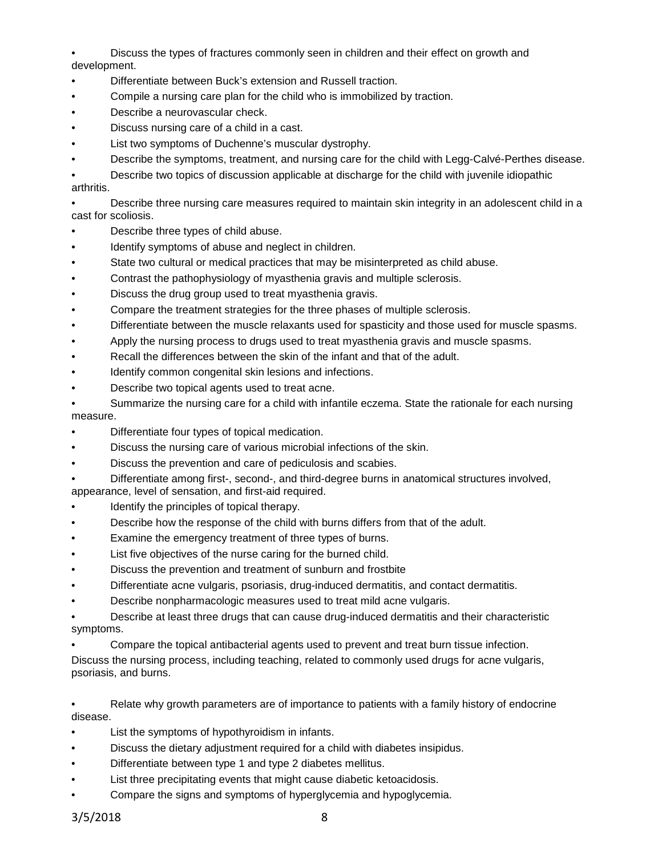• Discuss the types of fractures commonly seen in children and their effect on growth and development.

- Differentiate between Buck's extension and Russell traction.
- Compile a nursing care plan for the child who is immobilized by traction.
- Describe a neurovascular check.
- Discuss nursing care of a child in a cast.
- List two symptoms of Duchenne's muscular dystrophy.
- Describe the symptoms, treatment, and nursing care for the child with Legg-Calvé-Perthes disease.

• Describe two topics of discussion applicable at discharge for the child with juvenile idiopathic arthritis.

• Describe three nursing care measures required to maintain skin integrity in an adolescent child in a cast for scoliosis.

- Describe three types of child abuse.
- Identify symptoms of abuse and neglect in children.
- State two cultural or medical practices that may be misinterpreted as child abuse.
- Contrast the pathophysiology of myasthenia gravis and multiple sclerosis.
- Discuss the drug group used to treat myasthenia gravis.
- Compare the treatment strategies for the three phases of multiple sclerosis.
- Differentiate between the muscle relaxants used for spasticity and those used for muscle spasms.
- Apply the nursing process to drugs used to treat myasthenia gravis and muscle spasms.
- Recall the differences between the skin of the infant and that of the adult.
- Identify common congenital skin lesions and infections.
- Describe two topical agents used to treat acne.
- Summarize the nursing care for a child with infantile eczema. State the rationale for each nursing measure.
- Differentiate four types of topical medication.
- Discuss the nursing care of various microbial infections of the skin.
- Discuss the prevention and care of pediculosis and scabies.
- Differentiate among first-, second-, and third-degree burns in anatomical structures involved,

appearance, level of sensation, and first-aid required.

- Identify the principles of topical therapy.
- Describe how the response of the child with burns differs from that of the adult.
- Examine the emergency treatment of three types of burns.
- List five objectives of the nurse caring for the burned child.
- Discuss the prevention and treatment of sunburn and frostbite
- Differentiate acne vulgaris, psoriasis, drug-induced dermatitis, and contact dermatitis.
- Describe nonpharmacologic measures used to treat mild acne vulgaris.

• Describe at least three drugs that can cause drug-induced dermatitis and their characteristic symptoms.

• Compare the topical antibacterial agents used to prevent and treat burn tissue infection. Discuss the nursing process, including teaching, related to commonly used drugs for acne vulgaris, psoriasis, and burns.

• Relate why growth parameters are of importance to patients with a family history of endocrine disease.

- List the symptoms of hypothyroidism in infants.
- Discuss the dietary adjustment required for a child with diabetes insipidus.
- Differentiate between type 1 and type 2 diabetes mellitus.
- List three precipitating events that might cause diabetic ketoacidosis.
- Compare the signs and symptoms of hyperglycemia and hypoglycemia.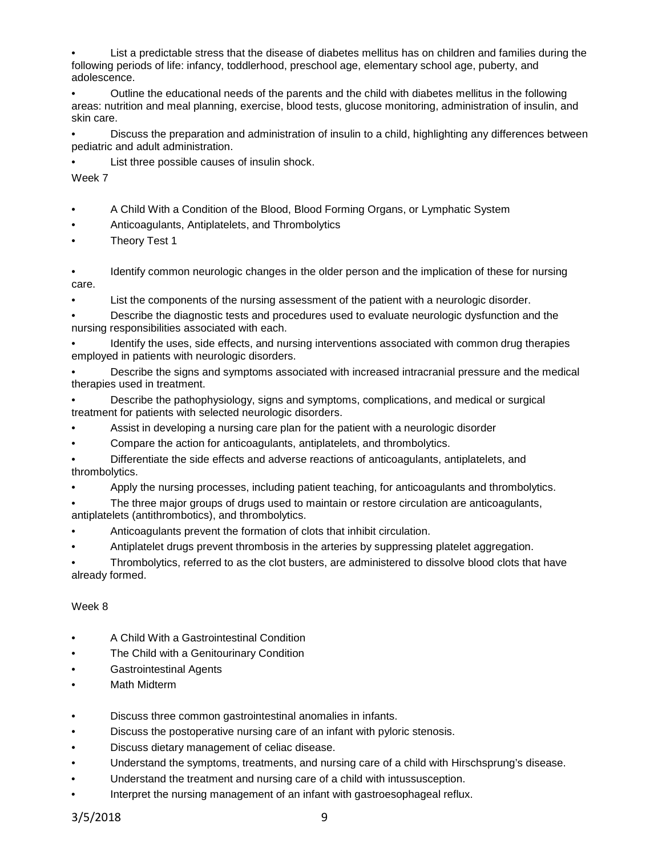• List a predictable stress that the disease of diabetes mellitus has on children and families during the following periods of life: infancy, toddlerhood, preschool age, elementary school age, puberty, and adolescence.

• Outline the educational needs of the parents and the child with diabetes mellitus in the following areas: nutrition and meal planning, exercise, blood tests, glucose monitoring, administration of insulin, and skin care.

• Discuss the preparation and administration of insulin to a child, highlighting any differences between pediatric and adult administration.

List three possible causes of insulin shock.

Week 7

- A Child With a Condition of the Blood, Blood Forming Organs, or Lymphatic System
- Anticoagulants, Antiplatelets, and Thrombolytics
- Theory Test 1

• Identify common neurologic changes in the older person and the implication of these for nursing care.

• List the components of the nursing assessment of the patient with a neurologic disorder.

• Describe the diagnostic tests and procedures used to evaluate neurologic dysfunction and the nursing responsibilities associated with each.

• Identify the uses, side effects, and nursing interventions associated with common drug therapies employed in patients with neurologic disorders.

• Describe the signs and symptoms associated with increased intracranial pressure and the medical therapies used in treatment.

• Describe the pathophysiology, signs and symptoms, complications, and medical or surgical treatment for patients with selected neurologic disorders.

- Assist in developing a nursing care plan for the patient with a neurologic disorder
- Compare the action for anticoagulants, antiplatelets, and thrombolytics.

• Differentiate the side effects and adverse reactions of anticoagulants, antiplatelets, and thrombolytics.

• Apply the nursing processes, including patient teaching, for anticoagulants and thrombolytics.

• The three major groups of drugs used to maintain or restore circulation are anticoagulants, antiplatelets (antithrombotics), and thrombolytics.

- Anticoagulants prevent the formation of clots that inhibit circulation.
- Antiplatelet drugs prevent thrombosis in the arteries by suppressing platelet aggregation.

• Thrombolytics, referred to as the clot busters, are administered to dissolve blood clots that have already formed.

# Week 8

- A Child With a Gastrointestinal Condition
- The Child with a Genitourinary Condition
- Gastrointestinal Agents
- Math Midterm
- Discuss three common gastrointestinal anomalies in infants.
- Discuss the postoperative nursing care of an infant with pyloric stenosis.
- Discuss dietary management of celiac disease.
- Understand the symptoms, treatments, and nursing care of a child with Hirschsprung's disease.
- Understand the treatment and nursing care of a child with intussusception.
- Interpret the nursing management of an infant with gastroesophageal reflux.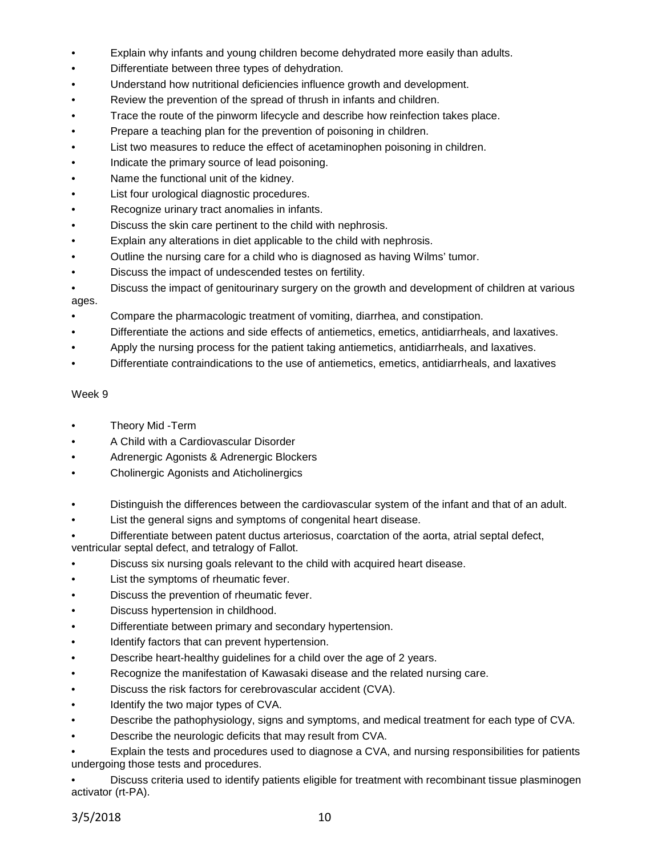- Explain why infants and young children become dehydrated more easily than adults.
- Differentiate between three types of dehydration.
- Understand how nutritional deficiencies influence growth and development.
- Review the prevention of the spread of thrush in infants and children.
- Trace the route of the pinworm lifecycle and describe how reinfection takes place.
- Prepare a teaching plan for the prevention of poisoning in children.
- List two measures to reduce the effect of acetaminophen poisoning in children.
- Indicate the primary source of lead poisoning.
- Name the functional unit of the kidney.
- List four urological diagnostic procedures.
- Recognize urinary tract anomalies in infants.
- Discuss the skin care pertinent to the child with nephrosis.
- Explain any alterations in diet applicable to the child with nephrosis.
- Outline the nursing care for a child who is diagnosed as having Wilms' tumor.
- Discuss the impact of undescended testes on fertility.
- Discuss the impact of genitourinary surgery on the growth and development of children at various ages.
- Compare the pharmacologic treatment of vomiting, diarrhea, and constipation.
- Differentiate the actions and side effects of antiemetics, emetics, antidiarrheals, and laxatives.
- Apply the nursing process for the patient taking antiemetics, antidiarrheals, and laxatives.
- Differentiate contraindications to the use of antiemetics, emetics, antidiarrheals, and laxatives

### Week 9

- Theory Mid -Term
- A Child with a Cardiovascular Disorder
- Adrenergic Agonists & Adrenergic Blockers
- Cholinergic Agonists and Aticholinergics
- Distinguish the differences between the cardiovascular system of the infant and that of an adult.
- List the general signs and symptoms of congenital heart disease.

• Differentiate between patent ductus arteriosus, coarctation of the aorta, atrial septal defect,

ventricular septal defect, and tetralogy of Fallot.

- Discuss six nursing goals relevant to the child with acquired heart disease.
- List the symptoms of rheumatic fever.
- Discuss the prevention of rheumatic fever.
- Discuss hypertension in childhood.
- Differentiate between primary and secondary hypertension.
- Identify factors that can prevent hypertension.
- Describe heart-healthy guidelines for a child over the age of 2 years.
- Recognize the manifestation of Kawasaki disease and the related nursing care.
- Discuss the risk factors for cerebrovascular accident (CVA).
- Identify the two major types of CVA.
- Describe the pathophysiology, signs and symptoms, and medical treatment for each type of CVA.
- Describe the neurologic deficits that may result from CVA.

• Explain the tests and procedures used to diagnose a CVA, and nursing responsibilities for patients undergoing those tests and procedures.

• Discuss criteria used to identify patients eligible for treatment with recombinant tissue plasminogen activator (rt-PA).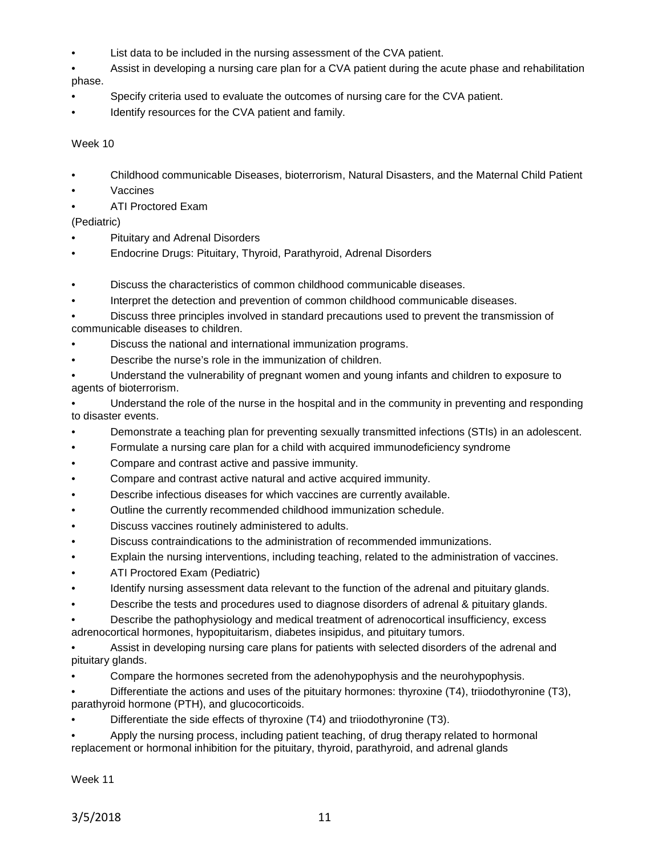- List data to be included in the nursing assessment of the CVA patient.
- Assist in developing a nursing care plan for a CVA patient during the acute phase and rehabilitation phase.
- Specify criteria used to evaluate the outcomes of nursing care for the CVA patient.
- Identify resources for the CVA patient and family.

### Week 10

- Childhood communicable Diseases, bioterrorism, Natural Disasters, and the Maternal Child Patient
- **Vaccines**
- ATI Proctored Exam

# (Pediatric)

- Pituitary and Adrenal Disorders
- Endocrine Drugs: Pituitary, Thyroid, Parathyroid, Adrenal Disorders
- Discuss the characteristics of common childhood communicable diseases.
- Interpret the detection and prevention of common childhood communicable diseases.
- Discuss three principles involved in standard precautions used to prevent the transmission of communicable diseases to children.
- Discuss the national and international immunization programs.
- Describe the nurse's role in the immunization of children.
- Understand the vulnerability of pregnant women and young infants and children to exposure to agents of bioterrorism.
- Understand the role of the nurse in the hospital and in the community in preventing and responding to disaster events.
- Demonstrate a teaching plan for preventing sexually transmitted infections (STIs) in an adolescent.
- Formulate a nursing care plan for a child with acquired immunodeficiency syndrome
- Compare and contrast active and passive immunity.
- Compare and contrast active natural and active acquired immunity.
- Describe infectious diseases for which vaccines are currently available.
- Outline the currently recommended childhood immunization schedule.
- Discuss vaccines routinely administered to adults.
- Discuss contraindications to the administration of recommended immunizations.
- Explain the nursing interventions, including teaching, related to the administration of vaccines.
- ATI Proctored Exam (Pediatric)
- Identify nursing assessment data relevant to the function of the adrenal and pituitary glands.
- Describe the tests and procedures used to diagnose disorders of adrenal & pituitary glands.
- Describe the pathophysiology and medical treatment of adrenocortical insufficiency, excess adrenocortical hormones, hypopituitarism, diabetes insipidus, and pituitary tumors.
- Assist in developing nursing care plans for patients with selected disorders of the adrenal and pituitary glands.
- Compare the hormones secreted from the adenohypophysis and the neurohypophysis.
- Differentiate the actions and uses of the pituitary hormones: thyroxine (T4), triiodothyronine (T3), parathyroid hormone (PTH), and glucocorticoids.
- Differentiate the side effects of thyroxine (T4) and triiodothyronine (T3).
- Apply the nursing process, including patient teaching, of drug therapy related to hormonal replacement or hormonal inhibition for the pituitary, thyroid, parathyroid, and adrenal glands

Week 11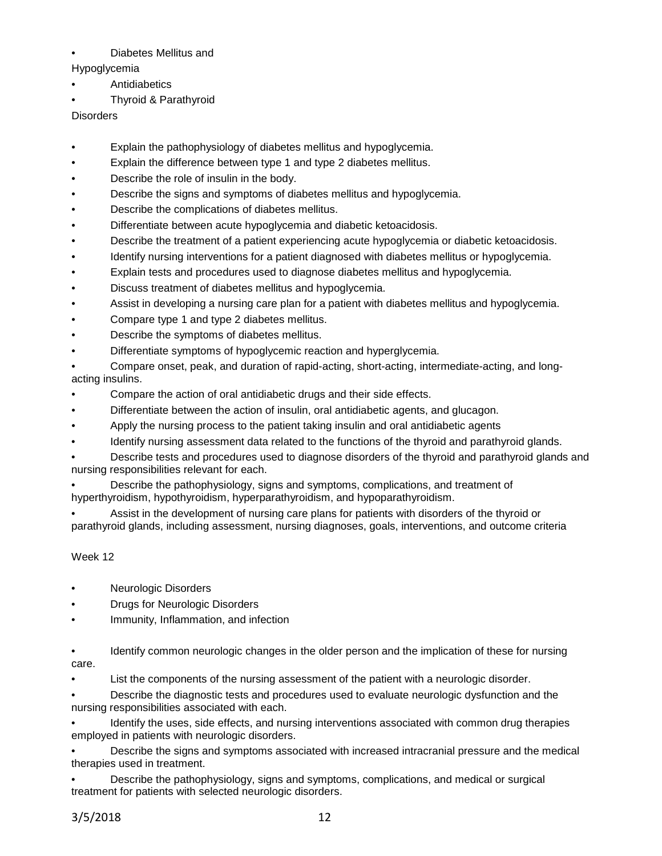# • Diabetes Mellitus and

- Hypoglycemia
- **Antidiabetics**
- Thyroid & Parathyroid

**Disorders** 

- Explain the pathophysiology of diabetes mellitus and hypoglycemia.
- Explain the difference between type 1 and type 2 diabetes mellitus.
- Describe the role of insulin in the body.
- Describe the signs and symptoms of diabetes mellitus and hypoglycemia.
- Describe the complications of diabetes mellitus.
- Differentiate between acute hypoglycemia and diabetic ketoacidosis.
- Describe the treatment of a patient experiencing acute hypoglycemia or diabetic ketoacidosis.
- Identify nursing interventions for a patient diagnosed with diabetes mellitus or hypoglycemia.
- Explain tests and procedures used to diagnose diabetes mellitus and hypoglycemia.
- Discuss treatment of diabetes mellitus and hypoglycemia.
- Assist in developing a nursing care plan for a patient with diabetes mellitus and hypoglycemia.
- Compare type 1 and type 2 diabetes mellitus.
- Describe the symptoms of diabetes mellitus.
- Differentiate symptoms of hypoglycemic reaction and hyperglycemia.
- Compare onset, peak, and duration of rapid-acting, short-acting, intermediate-acting, and longacting insulins.
- Compare the action of oral antidiabetic drugs and their side effects.
- Differentiate between the action of insulin, oral antidiabetic agents, and glucagon.
- Apply the nursing process to the patient taking insulin and oral antidiabetic agents
- Identify nursing assessment data related to the functions of the thyroid and parathyroid glands.

• Describe tests and procedures used to diagnose disorders of the thyroid and parathyroid glands and nursing responsibilities relevant for each.

• Describe the pathophysiology, signs and symptoms, complications, and treatment of hyperthyroidism, hypothyroidism, hyperparathyroidism, and hypoparathyroidism.

• Assist in the development of nursing care plans for patients with disorders of the thyroid or parathyroid glands, including assessment, nursing diagnoses, goals, interventions, and outcome criteria

# Week 12

- Neurologic Disorders
- Drugs for Neurologic Disorders
- Immunity, Inflammation, and infection
- Identify common neurologic changes in the older person and the implication of these for nursing care.
- List the components of the nursing assessment of the patient with a neurologic disorder.

• Describe the diagnostic tests and procedures used to evaluate neurologic dysfunction and the nursing responsibilities associated with each.

Identify the uses, side effects, and nursing interventions associated with common drug therapies employed in patients with neurologic disorders.

• Describe the signs and symptoms associated with increased intracranial pressure and the medical therapies used in treatment.

• Describe the pathophysiology, signs and symptoms, complications, and medical or surgical treatment for patients with selected neurologic disorders.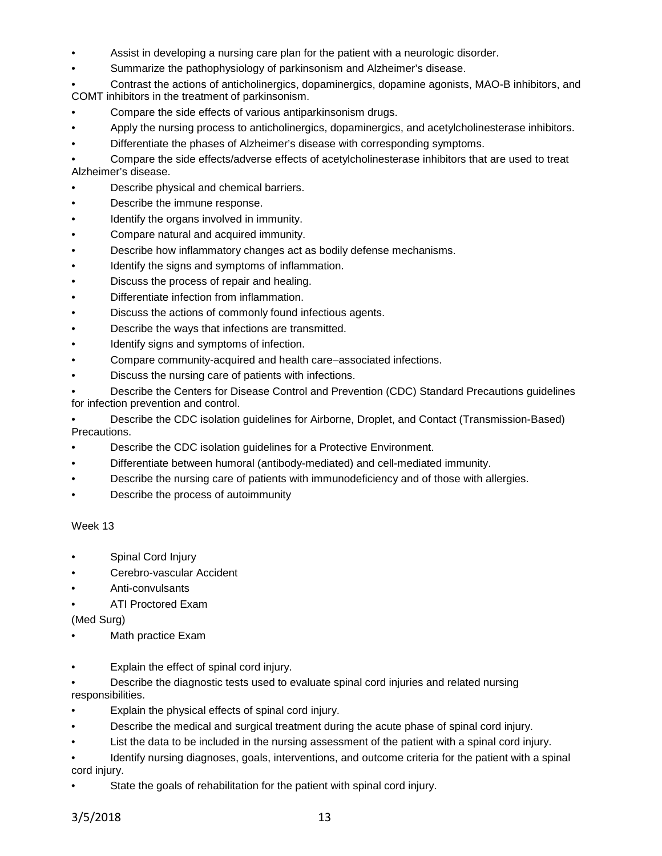- Assist in developing a nursing care plan for the patient with a neurologic disorder.
- Summarize the pathophysiology of parkinsonism and Alzheimer's disease.

• Contrast the actions of anticholinergics, dopaminergics, dopamine agonists, MAO-B inhibitors, and COMT inhibitors in the treatment of parkinsonism.

- Compare the side effects of various antiparkinsonism drugs.
- Apply the nursing process to anticholinergics, dopaminergics, and acetylcholinesterase inhibitors.
- Differentiate the phases of Alzheimer's disease with corresponding symptoms.

• Compare the side effects/adverse effects of acetylcholinesterase inhibitors that are used to treat Alzheimer's disease.

- Describe physical and chemical barriers.
- Describe the immune response.
- Identify the organs involved in immunity.
- Compare natural and acquired immunity.
- Describe how inflammatory changes act as bodily defense mechanisms.
- Identify the signs and symptoms of inflammation.
- Discuss the process of repair and healing.
- Differentiate infection from inflammation.
- Discuss the actions of commonly found infectious agents.
- Describe the ways that infections are transmitted.
- Identify signs and symptoms of infection.
- Compare community-acquired and health care–associated infections.
- Discuss the nursing care of patients with infections.

• Describe the Centers for Disease Control and Prevention (CDC) Standard Precautions guidelines for infection prevention and control.

• Describe the CDC isolation guidelines for Airborne, Droplet, and Contact (Transmission-Based) Precautions.

- Describe the CDC isolation guidelines for a Protective Environment.
- Differentiate between humoral (antibody-mediated) and cell-mediated immunity.
- Describe the nursing care of patients with immunodeficiency and of those with allergies.
- Describe the process of autoimmunity

Week 13

- Spinal Cord Injury
- Cerebro-vascular Accident
- Anti-convulsants
- ATI Proctored Exam

(Med Surg)

- Math practice Exam
- Explain the effect of spinal cord injury.
- Describe the diagnostic tests used to evaluate spinal cord injuries and related nursing responsibilities.
- Explain the physical effects of spinal cord injury.
- Describe the medical and surgical treatment during the acute phase of spinal cord injury.
- List the data to be included in the nursing assessment of the patient with a spinal cord injury.
- Identify nursing diagnoses, goals, interventions, and outcome criteria for the patient with a spinal cord injury.
- State the goals of rehabilitation for the patient with spinal cord injury.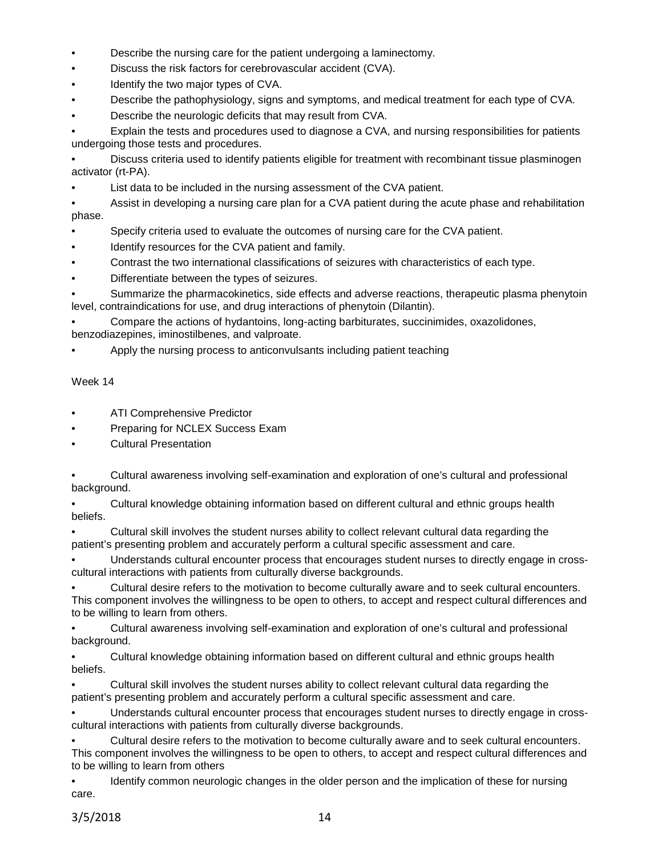- Describe the nursing care for the patient undergoing a laminectomy.
- Discuss the risk factors for cerebrovascular accident (CVA).
- Identify the two major types of CVA.
- Describe the pathophysiology, signs and symptoms, and medical treatment for each type of CVA.
- Describe the neurologic deficits that may result from CVA.

• Explain the tests and procedures used to diagnose a CVA, and nursing responsibilities for patients undergoing those tests and procedures.

• Discuss criteria used to identify patients eligible for treatment with recombinant tissue plasminogen activator (rt-PA).

List data to be included in the nursing assessment of the CVA patient.

• Assist in developing a nursing care plan for a CVA patient during the acute phase and rehabilitation phase.

- Specify criteria used to evaluate the outcomes of nursing care for the CVA patient.
- Identify resources for the CVA patient and family.
- Contrast the two international classifications of seizures with characteristics of each type.
- Differentiate between the types of seizures.

• Summarize the pharmacokinetics, side effects and adverse reactions, therapeutic plasma phenytoin level, contraindications for use, and drug interactions of phenytoin (Dilantin).

• Compare the actions of hydantoins, long-acting barbiturates, succinimides, oxazolidones, benzodiazepines, iminostilbenes, and valproate.

• Apply the nursing process to anticonvulsants including patient teaching

# Week 14

- ATI Comprehensive Predictor
- Preparing for NCLEX Success Exam
- Cultural Presentation

|             | Cultural awareness involving self-examination and exploration of one's cultural and professional |
|-------------|--------------------------------------------------------------------------------------------------|
| background. |                                                                                                  |

• Cultural knowledge obtaining information based on different cultural and ethnic groups health beliefs.

• Cultural skill involves the student nurses ability to collect relevant cultural data regarding the patient's presenting problem and accurately perform a cultural specific assessment and care.

• Understands cultural encounter process that encourages student nurses to directly engage in crosscultural interactions with patients from culturally diverse backgrounds.

• Cultural desire refers to the motivation to become culturally aware and to seek cultural encounters. This component involves the willingness to be open to others, to accept and respect cultural differences and to be willing to learn from others.

• Cultural awareness involving self-examination and exploration of one's cultural and professional background.

• Cultural knowledge obtaining information based on different cultural and ethnic groups health beliefs.

• Cultural skill involves the student nurses ability to collect relevant cultural data regarding the patient's presenting problem and accurately perform a cultural specific assessment and care.

• Understands cultural encounter process that encourages student nurses to directly engage in crosscultural interactions with patients from culturally diverse backgrounds.

• Cultural desire refers to the motivation to become culturally aware and to seek cultural encounters. This component involves the willingness to be open to others, to accept and respect cultural differences and to be willing to learn from others

• Identify common neurologic changes in the older person and the implication of these for nursing care.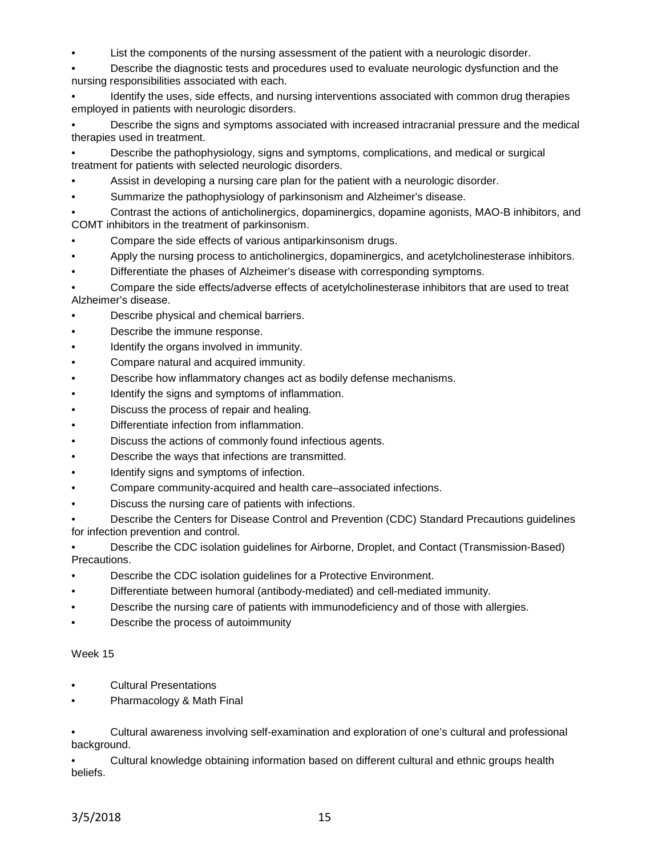• List the components of the nursing assessment of the patient with a neurologic disorder.

• Describe the diagnostic tests and procedures used to evaluate neurologic dysfunction and the nursing responsibilities associated with each.

• Identify the uses, side effects, and nursing interventions associated with common drug therapies employed in patients with neurologic disorders.

• Describe the signs and symptoms associated with increased intracranial pressure and the medical therapies used in treatment.

• Describe the pathophysiology, signs and symptoms, complications, and medical or surgical treatment for patients with selected neurologic disorders.

- Assist in developing a nursing care plan for the patient with a neurologic disorder.
- Summarize the pathophysiology of parkinsonism and Alzheimer's disease.

• Contrast the actions of anticholinergics, dopaminergics, dopamine agonists, MAO-B inhibitors, and COMT inhibitors in the treatment of parkinsonism.

- Compare the side effects of various antiparkinsonism drugs.
- Apply the nursing process to anticholinergics, dopaminergics, and acetylcholinesterase inhibitors.
- Differentiate the phases of Alzheimer's disease with corresponding symptoms.

• Compare the side effects/adverse effects of acetylcholinesterase inhibitors that are used to treat Alzheimer's disease.

- Describe physical and chemical barriers.
- Describe the immune response.
- Identify the organs involved in immunity.
- Compare natural and acquired immunity.
- Describe how inflammatory changes act as bodily defense mechanisms.
- Identify the signs and symptoms of inflammation.
- Discuss the process of repair and healing.
- Differentiate infection from inflammation.
- Discuss the actions of commonly found infectious agents.
- Describe the ways that infections are transmitted.
- Identify signs and symptoms of infection.
- Compare community-acquired and health care–associated infections.
- Discuss the nursing care of patients with infections.

• Describe the Centers for Disease Control and Prevention (CDC) Standard Precautions guidelines for infection prevention and control.

• Describe the CDC isolation guidelines for Airborne, Droplet, and Contact (Transmission-Based) Precautions.

- Describe the CDC isolation guidelines for a Protective Environment.
- Differentiate between humoral (antibody-mediated) and cell-mediated immunity.
- Describe the nursing care of patients with immunodeficiency and of those with allergies.
- Describe the process of autoimmunity

# Week 15

- Cultural Presentations
- Pharmacology & Math Final

• Cultural awareness involving self-examination and exploration of one's cultural and professional background.

• Cultural knowledge obtaining information based on different cultural and ethnic groups health beliefs.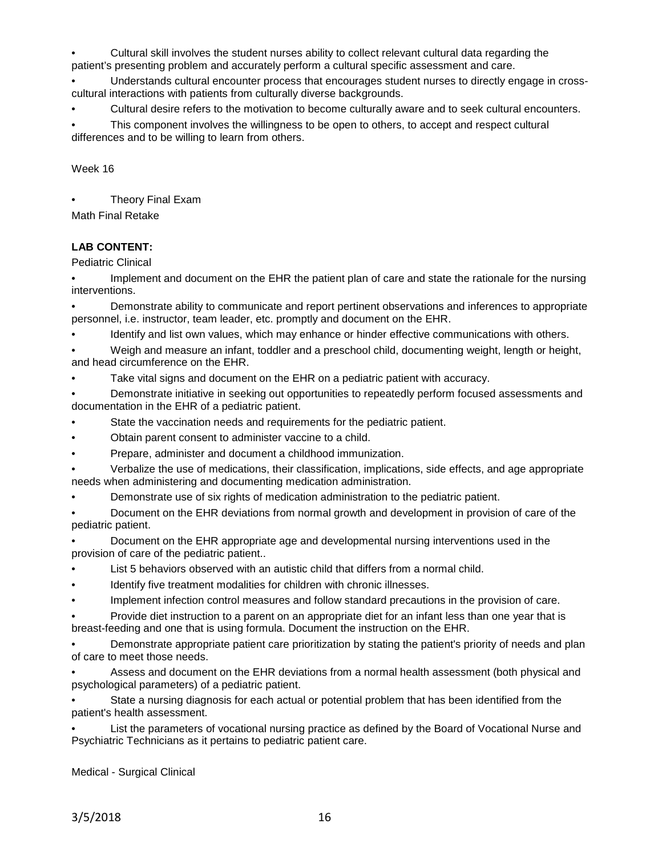• Cultural skill involves the student nurses ability to collect relevant cultural data regarding the patient's presenting problem and accurately perform a cultural specific assessment and care.

• Understands cultural encounter process that encourages student nurses to directly engage in crosscultural interactions with patients from culturally diverse backgrounds.

• Cultural desire refers to the motivation to become culturally aware and to seek cultural encounters.

This component involves the willingness to be open to others, to accept and respect cultural differences and to be willing to learn from others.

Week 16

• Theory Final Exam

Math Final Retake

# **LAB CONTENT:**

Pediatric Clinical

Implement and document on the EHR the patient plan of care and state the rationale for the nursing interventions.

• Demonstrate ability to communicate and report pertinent observations and inferences to appropriate personnel, i.e. instructor, team leader, etc. promptly and document on the EHR.

• Identify and list own values, which may enhance or hinder effective communications with others.

• Weigh and measure an infant, toddler and a preschool child, documenting weight, length or height, and head circumference on the EHR.

Take vital signs and document on the EHR on a pediatric patient with accuracy.

• Demonstrate initiative in seeking out opportunities to repeatedly perform focused assessments and documentation in the EHR of a pediatric patient.

State the vaccination needs and requirements for the pediatric patient.

• Obtain parent consent to administer vaccine to a child.

• Prepare, administer and document a childhood immunization.

• Verbalize the use of medications, their classification, implications, side effects, and age appropriate needs when administering and documenting medication administration.

• Demonstrate use of six rights of medication administration to the pediatric patient.

• Document on the EHR deviations from normal growth and development in provision of care of the pediatric patient.

• Document on the EHR appropriate age and developmental nursing interventions used in the provision of care of the pediatric patient..

- List 5 behaviors observed with an autistic child that differs from a normal child.
- Identify five treatment modalities for children with chronic illnesses.
- Implement infection control measures and follow standard precautions in the provision of care.

• Provide diet instruction to a parent on an appropriate diet for an infant less than one year that is breast-feeding and one that is using formula. Document the instruction on the EHR.

• Demonstrate appropriate patient care prioritization by stating the patient's priority of needs and plan of care to meet those needs.

• Assess and document on the EHR deviations from a normal health assessment (both physical and psychological parameters) of a pediatric patient.

State a nursing diagnosis for each actual or potential problem that has been identified from the patient's health assessment.

List the parameters of vocational nursing practice as defined by the Board of Vocational Nurse and Psychiatric Technicians as it pertains to pediatric patient care.

Medical - Surgical Clinical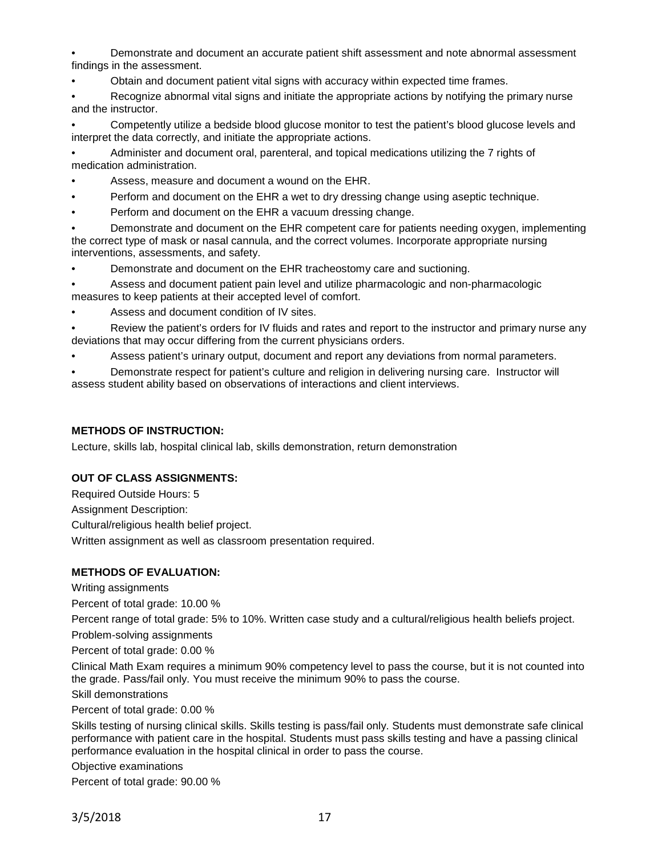• Demonstrate and document an accurate patient shift assessment and note abnormal assessment findings in the assessment.

• Obtain and document patient vital signs with accuracy within expected time frames.

Recognize abnormal vital signs and initiate the appropriate actions by notifying the primary nurse and the instructor.

• Competently utilize a bedside blood glucose monitor to test the patient's blood glucose levels and interpret the data correctly, and initiate the appropriate actions.

• Administer and document oral, parenteral, and topical medications utilizing the 7 rights of medication administration.

- Assess, measure and document a wound on the EHR.
- Perform and document on the EHR a wet to dry dressing change using aseptic technique.
- Perform and document on the EHR a vacuum dressing change.

• Demonstrate and document on the EHR competent care for patients needing oxygen, implementing the correct type of mask or nasal cannula, and the correct volumes. Incorporate appropriate nursing interventions, assessments, and safety.

• Demonstrate and document on the EHR tracheostomy care and suctioning.

• Assess and document patient pain level and utilize pharmacologic and non-pharmacologic measures to keep patients at their accepted level of comfort.

Assess and document condition of IV sites.

• Review the patient's orders for IV fluids and rates and report to the instructor and primary nurse any deviations that may occur differing from the current physicians orders.

• Assess patient's urinary output, document and report any deviations from normal parameters.

• Demonstrate respect for patient's culture and religion in delivering nursing care. Instructor will assess student ability based on observations of interactions and client interviews.

# **METHODS OF INSTRUCTION:**

Lecture, skills lab, hospital clinical lab, skills demonstration, return demonstration

# **OUT OF CLASS ASSIGNMENTS:**

Required Outside Hours: 5 Assignment Description: Cultural/religious health belief project. Written assignment as well as classroom presentation required.

# **METHODS OF EVALUATION:**

Writing assignments

Percent of total grade: 10.00 %

Percent range of total grade: 5% to 10%. Written case study and a cultural/religious health beliefs project.

Problem-solving assignments

Percent of total grade: 0.00 %

Clinical Math Exam requires a minimum 90% competency level to pass the course, but it is not counted into the grade. Pass/fail only. You must receive the minimum 90% to pass the course.

Skill demonstrations

Percent of total grade: 0.00 %

Skills testing of nursing clinical skills. Skills testing is pass/fail only. Students must demonstrate safe clinical performance with patient care in the hospital. Students must pass skills testing and have a passing clinical performance evaluation in the hospital clinical in order to pass the course.

Objective examinations

Percent of total grade: 90.00 %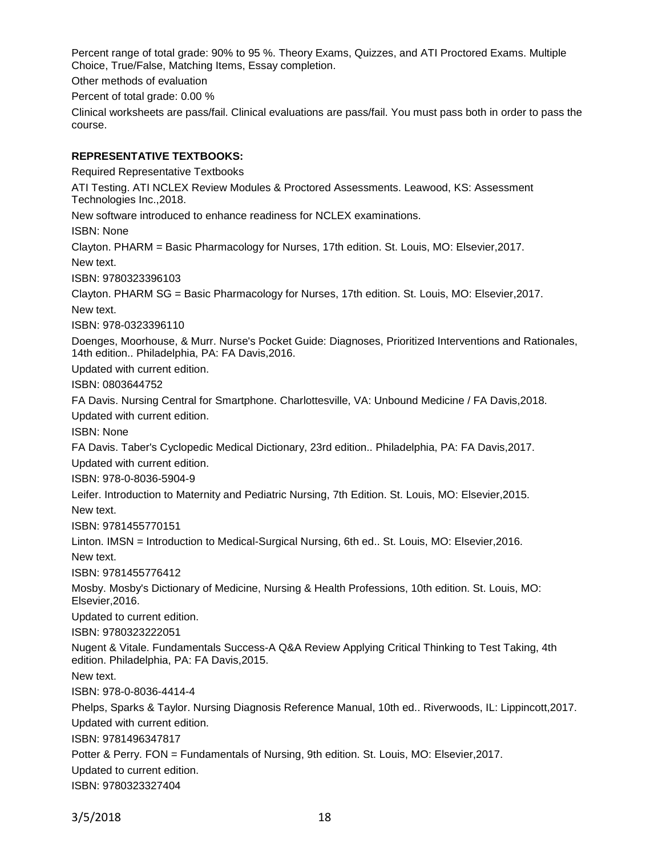Percent range of total grade: 90% to 95 %. Theory Exams, Quizzes, and ATI Proctored Exams. Multiple Choice, True/False, Matching Items, Essay completion.

Other methods of evaluation

Percent of total grade: 0.00 %

Clinical worksheets are pass/fail. Clinical evaluations are pass/fail. You must pass both in order to pass the course.

# **REPRESENTATIVE TEXTBOOKS:**

Required Representative Textbooks ATI Testing. ATI NCLEX Review Modules & Proctored Assessments. Leawood, KS: Assessment Technologies Inc.,2018. New software introduced to enhance readiness for NCLEX examinations. ISBN: None Clayton. PHARM = Basic Pharmacology for Nurses, 17th edition. St. Louis, MO: Elsevier,2017. New text. ISBN: 9780323396103 Clayton. PHARM SG = Basic Pharmacology for Nurses, 17th edition. St. Louis, MO: Elsevier,2017. New text. ISBN: 978-0323396110 Doenges, Moorhouse, & Murr. Nurse's Pocket Guide: Diagnoses, Prioritized Interventions and Rationales, 14th edition.. Philadelphia, PA: FA Davis,2016. Updated with current edition. ISBN: 0803644752 FA Davis. Nursing Central for Smartphone. Charlottesville, VA: Unbound Medicine / FA Davis,2018. Updated with current edition. ISBN: None FA Davis. Taber's Cyclopedic Medical Dictionary, 23rd edition.. Philadelphia, PA: FA Davis,2017. Updated with current edition. ISBN: 978-0-8036-5904-9 Leifer. Introduction to Maternity and Pediatric Nursing, 7th Edition. St. Louis, MO: Elsevier,2015. New text. ISBN: 9781455770151 Linton. IMSN = Introduction to Medical-Surgical Nursing, 6th ed.. St. Louis, MO: Elsevier,2016. New text. ISBN: 9781455776412 Mosby. Mosby's Dictionary of Medicine, Nursing & Health Professions, 10th edition. St. Louis, MO: Elsevier,2016. Updated to current edition. ISBN: 9780323222051 Nugent & Vitale. Fundamentals Success-A Q&A Review Applying Critical Thinking to Test Taking, 4th edition. Philadelphia, PA: FA Davis,2015. New text. ISBN: 978-0-8036-4414-4 Phelps, Sparks & Taylor. Nursing Diagnosis Reference Manual, 10th ed.. Riverwoods, IL: Lippincott,2017. Updated with current edition. ISBN: 9781496347817 Potter & Perry. FON = Fundamentals of Nursing, 9th edition. St. Louis, MO: Elsevier,2017. Updated to current edition. ISBN: 9780323327404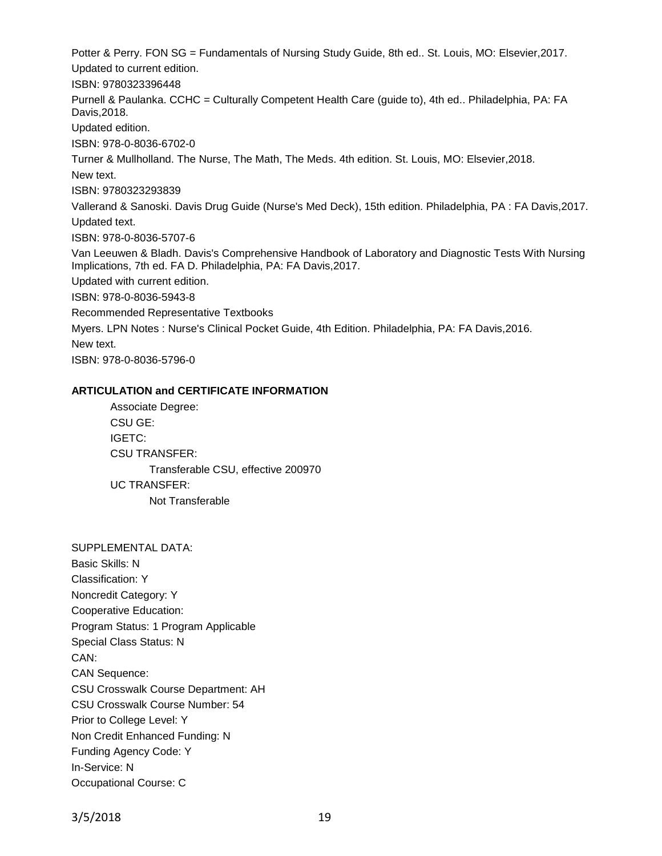Potter & Perry. FON SG = Fundamentals of Nursing Study Guide, 8th ed.. St. Louis, MO: Elsevier,2017. Updated to current edition. ISBN: 9780323396448 Purnell & Paulanka. CCHC = Culturally Competent Health Care (guide to), 4th ed.. Philadelphia, PA: FA Davis,2018. Updated edition. ISBN: 978-0-8036-6702-0 Turner & Mullholland. The Nurse, The Math, The Meds. 4th edition. St. Louis, MO: Elsevier,2018. New text. ISBN: 9780323293839 Vallerand & Sanoski. Davis Drug Guide (Nurse's Med Deck), 15th edition. Philadelphia, PA : FA Davis,2017. Updated text. ISBN: 978-0-8036-5707-6 Van Leeuwen & Bladh. Davis's Comprehensive Handbook of Laboratory and Diagnostic Tests With Nursing Implications, 7th ed. FA D. Philadelphia, PA: FA Davis,2017. Updated with current edition. ISBN: 978-0-8036-5943-8 Recommended Representative Textbooks Myers. LPN Notes : Nurse's Clinical Pocket Guide, 4th Edition. Philadelphia, PA: FA Davis,2016. New text. ISBN: 978-0-8036-5796-0

### **ARTICULATION and CERTIFICATE INFORMATION**

Associate Degree: CSU GE: IGETC: CSU TRANSFER: Transferable CSU, effective 200970 UC TRANSFER: Not Transferable

SUPPLEMENTAL DATA: Basic Skills: N Classification: Y Noncredit Category: Y Cooperative Education: Program Status: 1 Program Applicable Special Class Status: N CAN: CAN Sequence: CSU Crosswalk Course Department: AH CSU Crosswalk Course Number: 54 Prior to College Level: Y Non Credit Enhanced Funding: N Funding Agency Code: Y In-Service: N Occupational Course: C